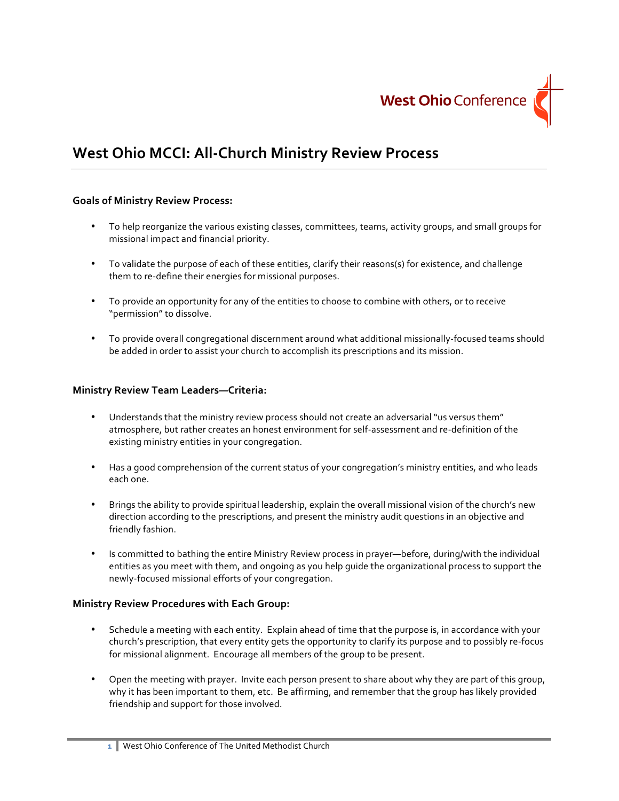

# **West Ohio MCCI: All-Church Ministry Review Process**

## **Goals of Ministry Review Process:**

- To help reorganize the various existing classes, committees, teams, activity groups, and small groups for missional impact and financial priority.
- To validate the purpose of each of these entities, clarify their reasons(s) for existence, and challenge them to re-define their energies for missional purposes.
- To provide an opportunity for any of the entities to choose to combine with others, or to receive "permission" to dissolve.
- To provide overall congregational discernment around what additional missionally-focused teams should be added in order to assist your church to accomplish its prescriptions and its mission.

#### **Ministry Review Team Leaders—Criteria:**

- Understands that the ministry review process should not create an adversarial "us versus them" atmosphere, but rather creates an honest environment for self-assessment and re-definition of the existing ministry entities in your congregation.
- Has a good comprehension of the current status of your congregation's ministry entities, and who leads each one.
- Brings the ability to provide spiritual leadership, explain the overall missional vision of the church's new direction according to the prescriptions, and present the ministry audit questions in an objective and friendly fashion.
- Is committed to bathing the entire Ministry Review process in prayer—before, during/with the individual entities as you meet with them, and ongoing as you help quide the organizational process to support the newly-focused missional efforts of your congregation.

#### **Ministry Review Procedures with Each Group:**

- Schedule a meeting with each entity. Explain ahead of time that the purpose is, in accordance with your church's prescription, that every entity gets the opportunity to clarify its purpose and to possibly re-focus for missional alignment. Encourage all members of the group to be present.
- Open the meeting with prayer. Invite each person present to share about why they are part of this group, why it has been important to them, etc. Be affirming, and remember that the group has likely provided friendship and support for those involved.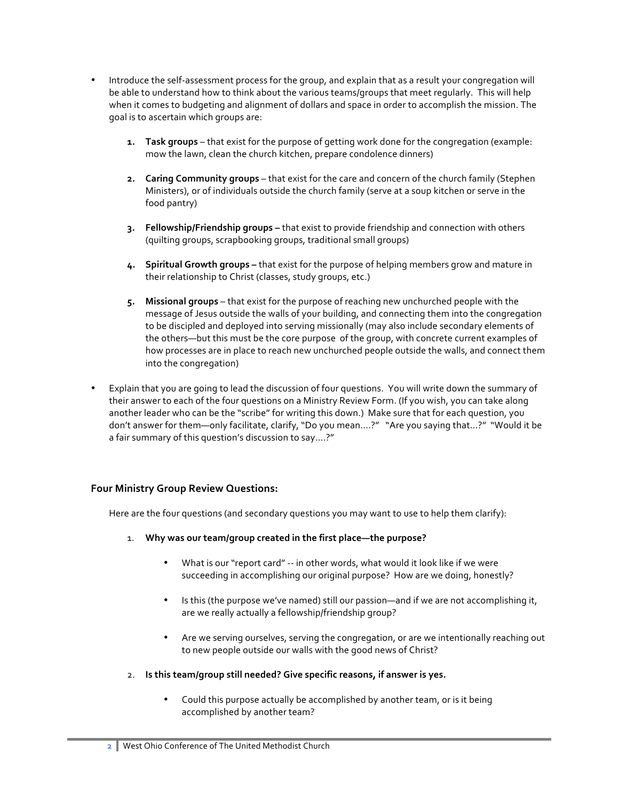- Introduce the self-assessment process for the group, and explain that as a result your congregation will be able to understand how to think about the various teams/groups that meet regularly. This will help when it comes to budgeting and alignment of dollars and space in order to accomplish the mission. The goal is to ascertain which groups are:
	- **1. Task groups** that exist for the purpose of getting work done for the congregation (example: mow the lawn, clean the church kitchen, prepare condolence dinners)
	- **2. Caring Community groups** that exist for the care and concern of the church family (Stephen Ministers), or of individuals outside the church family (serve at a soup kitchen or serve in the food pantry)
	- **3. Fellowship/Friendship groups** that exist to provide friendship and connection with others (quilting groups, scrapbooking groups, traditional small groups)
	- 4. **Spiritual Growth groups** that exist for the purpose of helping members grow and mature in their relationship to Christ (classes, study groups, etc.)
	- 5. Missional groups that exist for the purpose of reaching new unchurched people with the message of Jesus outside the walls of your building, and connecting them into the congregation to be discipled and deployed into serving missionally (may also include secondary elements of the others—but this must be the core purpose of the group, with concrete current examples of how processes are in place to reach new unchurched people outside the walls, and connect them into the congregation)
- Explain that you are going to lead the discussion of four questions. You will write down the summary of their answer to each of the four questions on a Ministry Review Form. (If you wish, you can take along another leader who can be the "scribe" for writing this down.) Make sure that for each question, you don't answer for them—only facilitate, clarify, "Do you mean....?" "Are you saying that...?" "Would it be a fair summary of this question's discussion to say....?"

## **Four Ministry Group Review Questions:**

Here are the four questions (and secondary questions you may want to use to help them clarify):

- 1. Why was our team/group created in the first place—the purpose?
	- What is our "report card" -- in other words, what would it look like if we were succeeding in accomplishing our original purpose? How are we doing, honestly?
	- Is this (the purpose we've named) still our passion—and if we are not accomplishing it, are we really actually a fellowship/friendship group?
	- Are we serving ourselves, serving the congregation, or are we intentionally reaching out to new people outside our walls with the good news of Christ?
- 2. Is this team/group still needed? Give specific reasons, if answer is yes.
	- Could this purpose actually be accomplished by another team, or is it being accomplished by another team?